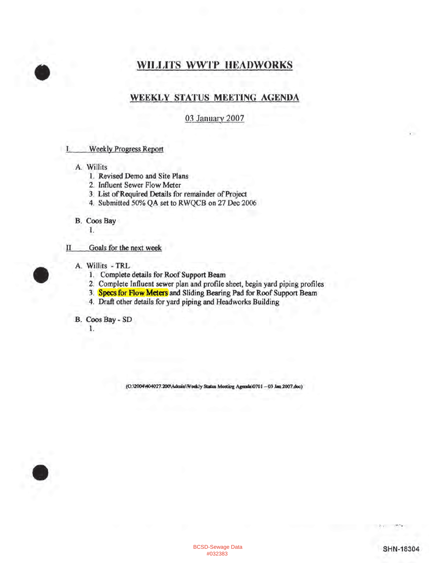## **WILLITS WWTP HEADWORKS**

### WEEKLY STATUS MEETING AGENDA

#### 03 January 2007

- **Weekly Progress Report** L
	- A. Willits
		- 1. Revised Demo and Site Plans
		- 2. Influent Sewer Flow Meter
		- 3. List of Required Details for remainder of Project
		- 4. Submitted 50% QA set to RWQCB on 27 Dec 2006
	- **B.** Coos Bay
		- 1.
- Goals for the next week п
	- A. Willits TRL
		- 1. Complete details for Roof Support Beam
		- 2. Complete Influent sewer plan and profile sheet, begin yard piping profiles
		- 3. Specs for Flow Meters and Sliding Bearing Pad for Roof Support Beam
		- 4. Draft other details for yard piping and Headworks Building

B. Coos Bay - SD

1.

(O:\2004\404027.200\Admin\Weekly Status Meeting Agenda\0701-03 Jan 2007.doc)

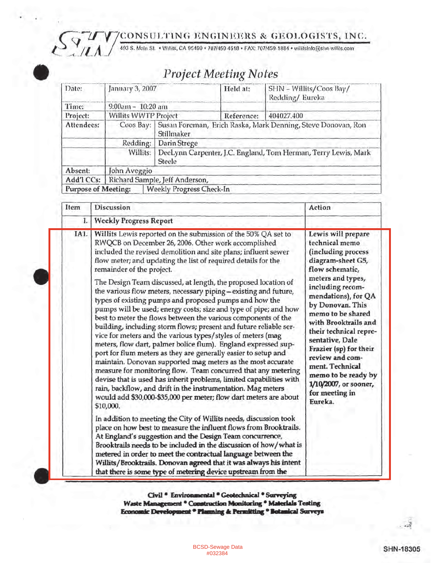CONSULTING ENGINEERS & GEOLOGISTS, INC.



# **Project Meeting Notes**

| Date:                      | January 3, 2007                                                                      |                                                                                        | Held at:   | SHN - Willits/Coos Bay/<br>Redding/Eureka |  |  |
|----------------------------|--------------------------------------------------------------------------------------|----------------------------------------------------------------------------------------|------------|-------------------------------------------|--|--|
| Time:                      | 9:00am - 10:20 am                                                                    |                                                                                        |            |                                           |  |  |
| Project:                   | <b>Willits WWTP Project</b>                                                          |                                                                                        | Reference: | 404027.400                                |  |  |
| Attendees:                 |                                                                                      | Coos Bay:   Susan Foreman, Erich Raska, Mark Denning, Steve Donovan, Ron<br>Stillmaker |            |                                           |  |  |
|                            | Redding:                                                                             | Darin Strege                                                                           |            |                                           |  |  |
|                            | DeeLynn Carpenter, J.C. England, Tom Herman, Terry Lewis, Mark<br>Willits:<br>Steele |                                                                                        |            |                                           |  |  |
| Absent:                    | John Aveggio                                                                         |                                                                                        |            |                                           |  |  |
|                            | Add'l CCs:   Richard Sample, Jeff Anderson,                                          |                                                                                        |            |                                           |  |  |
| <b>Purpose of Meeting:</b> |                                                                                      | <b>Weekly Progress Check-In</b>                                                        |            |                                           |  |  |

| Item        | Discussion                                                                                                                                                                                                                                                                                                                                                                                                                                                                                                                                                                                                                                                                                     | Action                                                                                                                                                                                                         |  |
|-------------|------------------------------------------------------------------------------------------------------------------------------------------------------------------------------------------------------------------------------------------------------------------------------------------------------------------------------------------------------------------------------------------------------------------------------------------------------------------------------------------------------------------------------------------------------------------------------------------------------------------------------------------------------------------------------------------------|----------------------------------------------------------------------------------------------------------------------------------------------------------------------------------------------------------------|--|
| $L_{\odot}$ | <b>Weekly Progress Report</b>                                                                                                                                                                                                                                                                                                                                                                                                                                                                                                                                                                                                                                                                  |                                                                                                                                                                                                                |  |
| IA1.        | Willits Lewis reported on the submission of the 50% QA set to<br>RWQCB on December 26, 2006. Other work accomplished<br>included the revised demolition and site plans; influent sewer<br>flow meter; and updating the list of required details for the<br>remainder of the project.<br>The Design Team discussed, at length, the proposed location of<br>the various flow meters, necessary piping-existing and future,<br>types of existing pumps and proposed pumps and how the<br>pumps will be used; energy costs; size and type of pipe; and how                                                                                                                                         | Lewis will prepare<br>technical memo<br>(including process<br>diagram-sheet G5,<br>flow schematic,<br>meters and types,<br>including recom-<br>mendations), for QA<br>by Donovan. This<br>memo to be shared    |  |
|             | best to meter the flows between the various components of the<br>building, including storm flows; present and future reliable ser-<br>vice for meters and the various types/styles of meters (mag<br>meters, flow dart, palmer bolice flum). England expressed sup-<br>port for flum meters as they are generally easier to setup and<br>maintain. Donovan supported mag meters as the most accurate<br>measure for monitoring flow. Team concurred that any metering<br>devise that is used has inherit problems, limited capabilities with<br>rain, backflow, and drift in the instrumentation. Mag meters<br>would add \$30,000-\$35,000 per meter; flow dart meters are about<br>\$10,000. | with Brooktrails and<br>their technical repre-<br>sentative, Dale<br>Frazier (sp) for their<br>review and com-<br>ment. Technical<br>memo to be ready by<br>1/10/2007, or sooner,<br>for meeting in<br>Eureka. |  |
|             | In addition to meeting the City of Willits needs, discussion took<br>place on how best to measure the influent flows from Brooktrails.<br>At England's suggestion and the Design Team concurrence,<br>Brooktrails needs to be included in the discussion of how/what is<br>metered in order to meet the contractual language between the<br>Willits/Brooktrails. Donovan agreed that it was always his intent<br>that there is some type of metering device upstream from the                                                                                                                                                                                                                  |                                                                                                                                                                                                                |  |

Civil \* Environmental \* Geotechnical \* Surveying<br>Waste Management \* Construction Monitoring \* Materials Testing Economic Development \* Planning & Permitting \* Botanical Surveys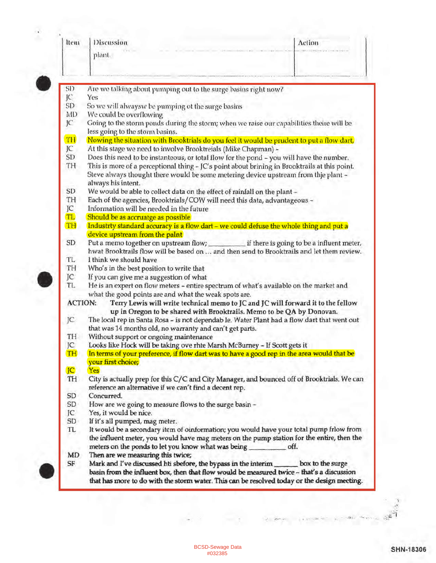| Item           | Discussion                                                                                                                                                                   | Action           |  |  |  |
|----------------|------------------------------------------------------------------------------------------------------------------------------------------------------------------------------|------------------|--|--|--|
|                | plant.                                                                                                                                                                       |                  |  |  |  |
|                |                                                                                                                                                                              |                  |  |  |  |
| SD             | Are we talking about pumping out to the surge basins right now?                                                                                                              |                  |  |  |  |
| JC.            | Yes<br>So we will alwaysw be pumping ot the surge basins                                                                                                                     |                  |  |  |  |
| SD             |                                                                                                                                                                              |                  |  |  |  |
| MD             | We could be overflowing                                                                                                                                                      |                  |  |  |  |
| JC             | Going to the storm ponds during the storm; when we raise our capabilities theire will be<br>less going to the storm basins.                                                  |                  |  |  |  |
| TH             | Nowing the situation with Brooktrials do you feel it would be prudent to put a flow dart,                                                                                    |                  |  |  |  |
| JC             | At this stage we need to involve Brooktreials (Mike Chapman) -                                                                                                               |                  |  |  |  |
| SD             | Does this need to be instanteous, or total flow for the pond - you will have the number.                                                                                     |                  |  |  |  |
| TH             | This is more of a perceptional thing - JC's point about brining in Brooktrails at this point.                                                                                |                  |  |  |  |
|                | Steve always thought there would be some metering device upstream from thje plant -                                                                                          |                  |  |  |  |
|                | always his intent.                                                                                                                                                           |                  |  |  |  |
| SD             | We would be able to collect data on the effect of rainfall on the plant -                                                                                                    |                  |  |  |  |
| TH             | Each of the agencies, Brooktrials/COW will need this data, advantageous -                                                                                                    |                  |  |  |  |
| JC             | Information will be needed in the future                                                                                                                                     |                  |  |  |  |
| <b>TL</b>      | Should be as accruatge as possible                                                                                                                                           |                  |  |  |  |
| TH             | Industrty standard accuracy is a flow dart - we could defuse the whole thing and put a                                                                                       |                  |  |  |  |
|                | device upstream from the paint                                                                                                                                               |                  |  |  |  |
| SD             |                                                                                                                                                                              |                  |  |  |  |
|                | Put a memo together on upstream flow; if there is going to be a influent meter,<br>hwat Brooktrails flow will be based on  and then send to Brooktrails and let them review. |                  |  |  |  |
| TL.            | I think we should have                                                                                                                                                       |                  |  |  |  |
| TH             | Who's in the best position to write that                                                                                                                                     |                  |  |  |  |
| JC             | If you can give me a suggestion of what                                                                                                                                      |                  |  |  |  |
| TL.            | He is an expert on flow meters - entire spectrum of what's available on the market and                                                                                       |                  |  |  |  |
|                | what the good points are and what the weak spots are.                                                                                                                        |                  |  |  |  |
| <b>ACTION:</b> | Terry Lewis will write technical memo to JC and JC will forward it to the fellow                                                                                             |                  |  |  |  |
|                | up in Oregon to be shared with Brooktrails. Memo to be QA by Donovan.                                                                                                        |                  |  |  |  |
| JC             | The local rep in Santa Rosa - is not dependab le. Water Plant had a flow dart that went out                                                                                  |                  |  |  |  |
|                | that was 14 months old, no warranty and can't get parts.                                                                                                                     |                  |  |  |  |
| TH             | Without support or ongoing maintenance                                                                                                                                       |                  |  |  |  |
| JC             | Looks like Hock will be taking ove rhte Marsh McBurney - If Scott gets it                                                                                                    |                  |  |  |  |
| TH             | In terms of your preference, if flow dart was to have a good rep in the area would that be                                                                                   |                  |  |  |  |
|                | your first choice;                                                                                                                                                           |                  |  |  |  |
| <b>JC</b>      | Yes                                                                                                                                                                          |                  |  |  |  |
| TH             | City is actually prep for this C/C and City Manager, and bounced off of Brooktrials. We can                                                                                  |                  |  |  |  |
|                | reference an alternative if we can't find a decent rep.                                                                                                                      |                  |  |  |  |
| SD             | Concurred.                                                                                                                                                                   |                  |  |  |  |
| SD             | How are we going to measure flows to the surge basin -                                                                                                                       |                  |  |  |  |
| JC             | Yes, it would be nice.                                                                                                                                                       |                  |  |  |  |
| SD             | If it's all pumped, mag meter.                                                                                                                                               |                  |  |  |  |
| TL             | It would be a secondary item of oinformation; you would have your total pump frlow from                                                                                      |                  |  |  |  |
|                | the influent meter, you would have mag meters on the pump station for the entire, then the                                                                                   |                  |  |  |  |
|                | meters on the ponds to let you know what was being<br>off.                                                                                                                   |                  |  |  |  |
| MD             | Then are we measuring this twice;                                                                                                                                            |                  |  |  |  |
| SF             | Mark and I've discussed hti sbefore, the bypass in the interim _                                                                                                             | box to the surge |  |  |  |
|                | basin from the influent box, then that flow would be measured twice - that's a discussion                                                                                    |                  |  |  |  |
|                | that has more to do with the storm water. This can be resolved today or the design meeting.                                                                                  |                  |  |  |  |

 $\alpha$ 

¥

 $\label{eq:1} \begin{array}{ll} \displaystyle \frac{1}{\sqrt{2}} & \displaystyle \frac{1}{\sqrt{2}}\, \frac{1}{\sqrt{2}}\, \frac{1}{\sqrt{2}}\, \frac{1}{\sqrt{2}}\, \frac{1}{\sqrt{2}}\, \frac{1}{\sqrt{2}}\, \frac{1}{\sqrt{2}}\, \frac{1}{\sqrt{2}}\, \frac{1}{\sqrt{2}}\, \frac{1}{\sqrt{2}}\, \frac{1}{\sqrt{2}}\, \frac{1}{\sqrt{2}}\, \frac{1}{\sqrt{2}}\, \frac{1}{\sqrt{2}}\, \frac{1}{\sqrt{2}}\, \frac{1}{\sqrt{2$ 

 $\mathbf{S}$ 

 $\mathbb{R}^{d \times 1}$ 

 $\rightarrow$ 

 $\label{eq:3.1} \mathbb{E}\left[\mathbf{z}\right] \in \mathbb{R}^{2\times 2\times 2} \quad \text{in} \quad$